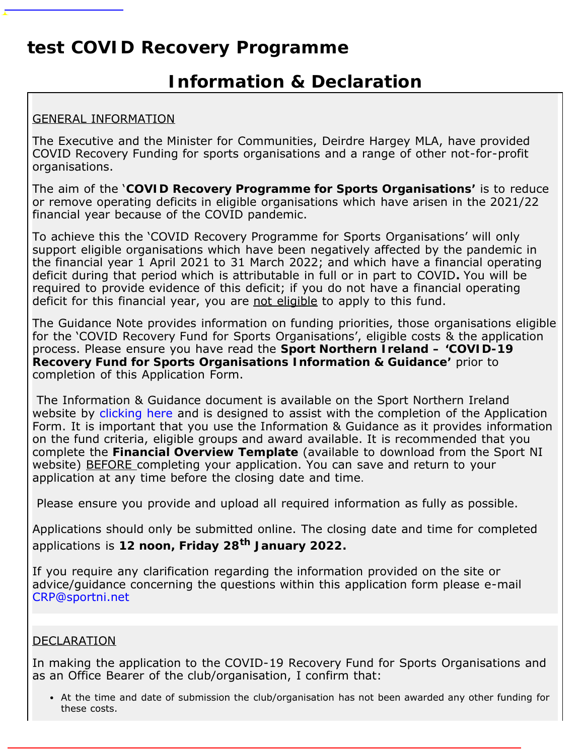### **test COVID Recovery Programme**

### **Information & Declaration**

### GENERAL INFORMATION

The Executive and the Minister for Communities, Deirdre Hargey MLA, have provided COVID Recovery Funding for sports organisations and a range of other not-for-profit organisations.

The aim of the '**COVID Recovery Programme for Sports Organisations'** is to reduce or remove operating deficits in eligible organisations which have arisen in the 2021/22 financial year because of the COVID pandemic.

To achieve this the 'COVID Recovery Programme for Sports Organisations' will only support eligible organisations which have been negatively affected by the pandemic in the financial year 1 April 2021 to 31 March 2022; and which have a financial operating deficit during that period which is attributable in full or in part to COVID**.** You will be required to provide evidence of this deficit; if you do not have a financial operating deficit for this financial year, you are not eligible to apply to this fund.

The Guidance Note provides information on funding priorities, those organisations eligible for the 'COVID Recovery Fund for Sports Organisations', eligible costs & the application process. Please ensure you have read the **Sport Northern Ireland – 'COVID-19 Recovery Fund for Sports Organisations Information & Guidance'** prior to completion of this Application Form.

The Information & Guidance document is available on the Sport Northern Ireland website by [clicking here](http://www.sportni.net/news/covid-recovery-programme-for-sports-organisations/) and is designed to assist with the completion of the Application Form. It is important that you use the Information & Guidance as it provides information on the fund criteria, eligible groups and award available. It is recommended that you complete the **Financial Overview Template** (available to download from the Sport NI website) BEFORE completing your application. You can save and return to your application at any time before the closing date and time.

Please ensure you provide and upload all required information as fully as possible.

Applications should only be submitted online. The closing date and time for completed applications is **12 noon, Friday 28th January 2022.**

If you require any clarification regarding the information provided on the site or advice/guidance concerning the questions within this application form please e-mail [CRP@sportni.net](mailto:CRP@sportni.net)

#### DECLARATION

In making the application to the COVID-19 Recovery Fund for Sports Organisations and as an Office Bearer of the club/organisation, I confirm that:

At the time and date of submission the club/organisation has not been awarded any other funding for these costs.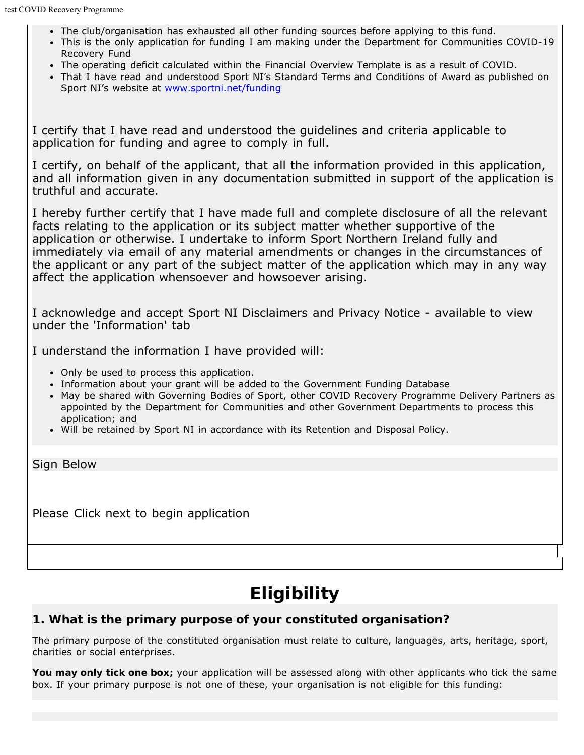- The club/organisation has exhausted all other funding sources before applying to this fund.
- This is the only application for funding I am making under the Department for Communities COVID-19 Recovery Fund
- The operating deficit calculated within the Financial Overview Template is as a result of COVID.
- That I have read and understood Sport NI's Standard Terms and Conditions of Award as published on Sport NI's website at [www.sportni.net/funding](http://www.sportni.net/funding)

I certify that I have read and understood the guidelines and criteria applicable to application for funding and agree to comply in full.

I certify, on behalf of the applicant, that all the information provided in this application, and all information given in any documentation submitted in support of the application is truthful and accurate.

I hereby further certify that I have made full and complete disclosure of all the relevant facts relating to the application or its subject matter whether supportive of the application or otherwise. I undertake to inform Sport Northern Ireland fully and immediately via email of any material amendments or changes in the circumstances of the applicant or any part of the subject matter of the application which may in any way affect the application whensoever and howsoever arising.

I acknowledge and accept Sport NI Disclaimers and Privacy Notice - available to view under the 'Information' tab

I understand the information I have provided will:

- Only be used to process this application.
- Information about your grant will be added to the Government Funding Database
- May be shared with Governing Bodies of Sport, other COVID Recovery Programme Delivery Partners as appointed by the Department for Communities and other Government Departments to process this application; and
- Will be retained by Sport NI in accordance with its Retention and Disposal Policy.

Sign Below

Please Click next to begin application

## **Eligibility**

### **1. What is the primary purpose of your constituted organisation?**

The primary purpose of the constituted organisation must relate to culture, languages, arts, heritage, sport, charities or social enterprises.

**You may only tick one box;** your application will be assessed along with other applicants who tick the same box. If your primary purpose is not one of these, your organisation is not eligible for this funding: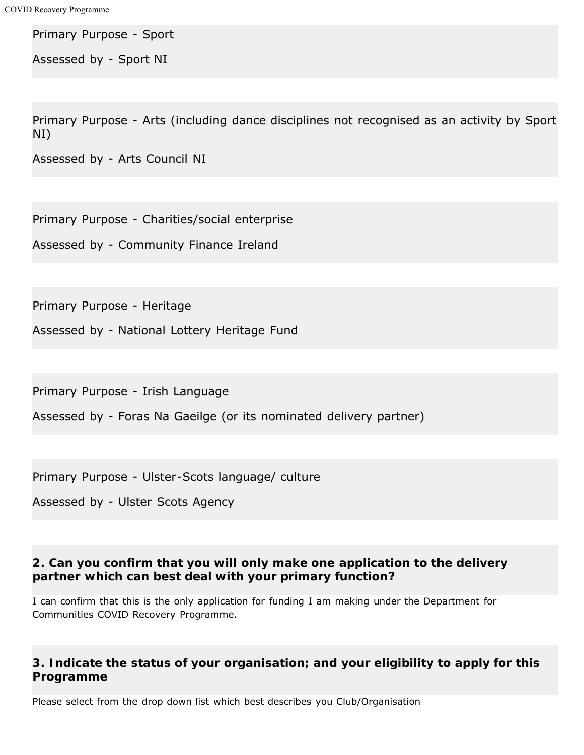Primary Purpose - Sport

Assessed by - Sport NI

Primary Purpose - Arts (including dance disciplines not recognised as an activity by Sport NI)

Assessed by - Arts Council NI

Primary Purpose - Charities/social enterprise

Assessed by - Community Finance Ireland

Primary Purpose - Heritage

Assessed by - National Lottery Heritage Fund

Primary Purpose - Irish Language

Assessed by - Foras Na Gaeilge (or its nominated delivery partner)

Primary Purpose - Ulster-Scots language/ culture

Assessed by - Ulster Scots Agency

### **2. Can you confirm that you will only make one application to the delivery partner which can best deal with your primary function?**

I can confirm that this is the only application for funding I am making under the Department for Communities COVID Recovery Programme.

### **3. Indicate the status of your organisation; and your eligibility to apply for this Programme**

Please select from the drop down list which best describes you Club/Organisation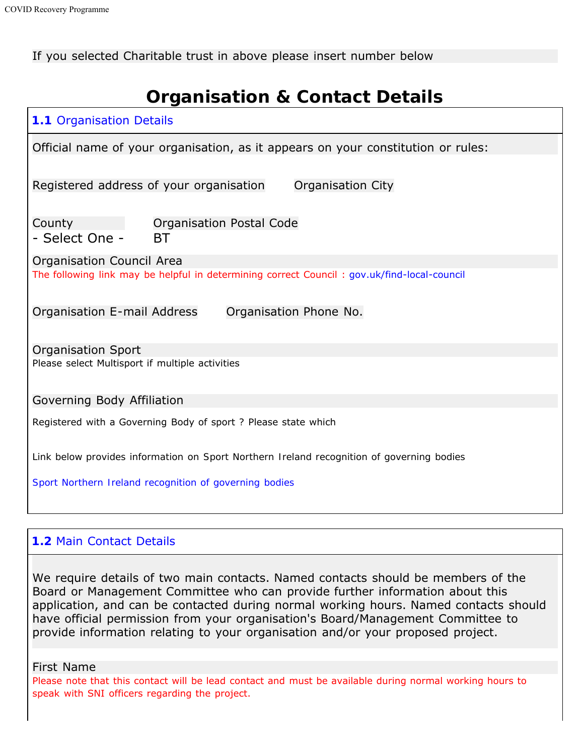If you selected Charitable trust in above please insert number below

# **Organisation & Contact Details**

| <b>1.1 Organisation Details</b>                                                             |  |  |  |  |
|---------------------------------------------------------------------------------------------|--|--|--|--|
| Official name of your organisation, as it appears on your constitution or rules:            |  |  |  |  |
| Registered address of your organisation<br>Organisation City                                |  |  |  |  |
| Organisation Postal Code<br>County<br>- Select One -<br>BT                                  |  |  |  |  |
| Organisation Council Area                                                                   |  |  |  |  |
| The following link may be helpful in determining correct Council: gov.uk/find-local-council |  |  |  |  |
| Organisation E-mail Address<br>Organisation Phone No.                                       |  |  |  |  |
| <b>Organisation Sport</b>                                                                   |  |  |  |  |
| Please select Multisport if multiple activities                                             |  |  |  |  |
| Governing Body Affiliation                                                                  |  |  |  |  |
| Registered with a Governing Body of sport ? Please state which                              |  |  |  |  |
| Link below provides information on Sport Northern Ireland recognition of governing bodies   |  |  |  |  |
| Sport Northern Ireland recognition of governing bodies                                      |  |  |  |  |
|                                                                                             |  |  |  |  |

### **1.2** Main Contact Details

We require details of two main contacts. Named contacts should be members of the Board or Management Committee who can provide further information about this application, and can be contacted during normal working hours. Named contacts should have official permission from your organisation's Board/Management Committee to provide information relating to your organisation and/or your proposed project.

First Name

Please note that this contact will be lead contact and must be available during normal working hours to speak with SNI officers regarding the project.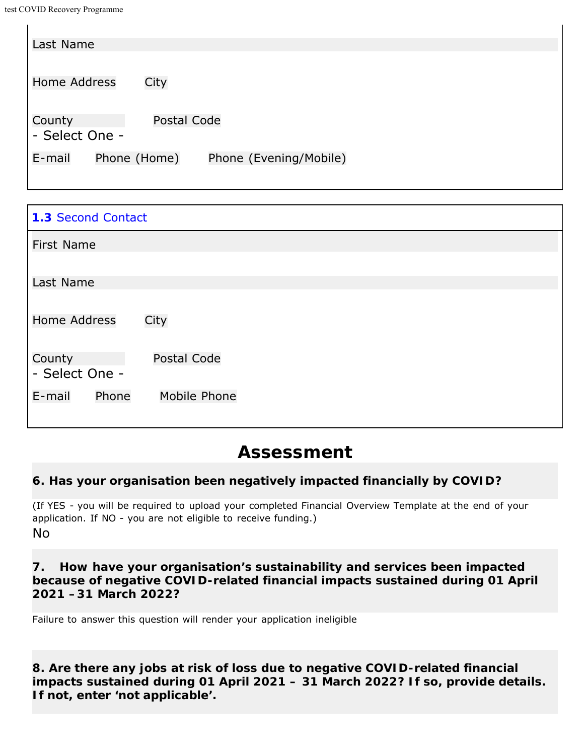| Last Name           |              |                        |  |
|---------------------|--------------|------------------------|--|
|                     |              |                        |  |
|                     |              |                        |  |
| <b>Home Address</b> | City         |                        |  |
|                     |              |                        |  |
| County              | Postal Code  |                        |  |
| - Select One -      |              |                        |  |
|                     |              |                        |  |
| E-mail              | Phone (Home) | Phone (Evening/Mobile) |  |
|                     |              |                        |  |

| <b>1.3 Second Contact</b>       |  |  |  |  |
|---------------------------------|--|--|--|--|
| <b>First Name</b>               |  |  |  |  |
|                                 |  |  |  |  |
| Last Name                       |  |  |  |  |
| <b>Home Address</b><br>City     |  |  |  |  |
| Postal Code<br>County           |  |  |  |  |
| - Select One -                  |  |  |  |  |
| Phone<br>Mobile Phone<br>E-mail |  |  |  |  |

### **Assessment**

### **6. Has your organisation been negatively impacted financially by COVID?**

(If YES - you will be required to upload your completed Financial Overview Template at the end of your application. If NO - you are not eligible to receive funding.) No

### **7. How have your organisation's sustainability and services been impacted because of negative COVID-related financial impacts sustained during 01 April 2021 –31 March 2022?**

Failure to answer this question will render your application ineligible

**8. Are there any jobs at risk of loss due to negative COVID-related financial impacts sustained during 01 April 2021 – 31 March 2022? If so, provide details. If not, enter 'not applicable'.**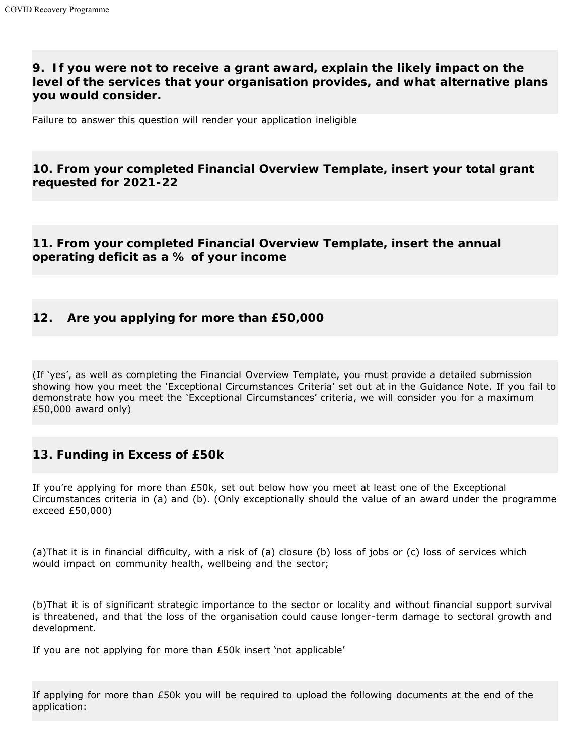### **9. If you were not to receive a grant award, explain the likely impact on the level of the services that your organisation provides, and what alternative plans you would consider.**

Failure to answer this question will render your application ineligible

### **10. From your completed Financial Overview Template, insert your total grant requested for 2021-22**

### **11. From your completed Financial Overview Template, insert the annual operating deficit as a % of your income**

### **12. Are you applying for more than £50,000**

(If 'yes', as well as completing the Financial Overview Template, you must provide a detailed submission showing how you meet the 'Exceptional Circumstances Criteria' set out at in the Guidance Note. If you fail to demonstrate how you meet the 'Exceptional Circumstances' criteria, we will consider you for a maximum £50,000 award only)

#### **13. Funding in Excess of £50k**

If you're applying for more than £50k, set out below how you meet at least one of the Exceptional Circumstances criteria in (a) and (b). (Only exceptionally should the value of an award under the programme exceed £50,000)

(a)That it is in financial difficulty, with a risk of (a) closure (b) loss of jobs or (c) loss of services which would impact on community health, wellbeing and the sector;

(b)That it is of significant strategic importance to the sector or locality and without financial support survival is threatened, and that the loss of the organisation could cause longer-term damage to sectoral growth and development.

If you are not applying for more than £50k insert 'not applicable'

If applying for more than £50k you will be required to upload the following documents at the end of the application: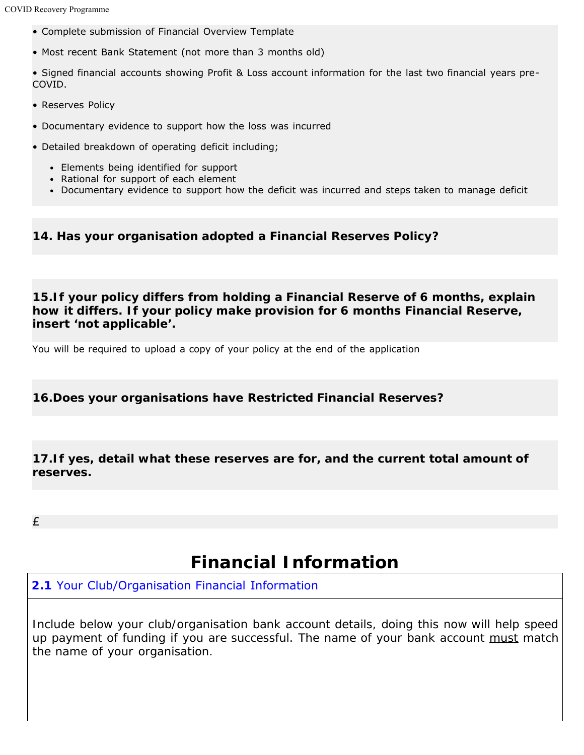- Complete submission of Financial Overview Template
- Most recent Bank Statement (not more than 3 months old)

• Signed financial accounts showing Profit & Loss account information for the last two financial years pre-COVID.

- Reserves Policy
- Documentary evidence to support how the loss was incurred
- Detailed breakdown of operating deficit including;
	- Elements being identified for support
	- Rational for support of each element
	- Documentary evidence to support how the deficit was incurred and steps taken to manage deficit

**14. Has your organisation adopted a Financial Reserves Policy?**

**15.If your policy differs from holding a Financial Reserve of 6 months, explain how it differs. If your policy make provision for 6 months Financial Reserve, insert 'not applicable'.**

You will be required to upload a copy of your policy at the end of the application

#### **16.Does your organisations have Restricted Financial Reserves?**

**17.If yes, detail what these reserves are for, and the current total amount of reserves.**

£

### **Financial Information**

### **2.1** Your Club/Organisation Financial Information

*Include below your club/organisation bank account details, doing this now will help speed up payment of funding if you are successful. The name of your bank account must match the name of your organisation.*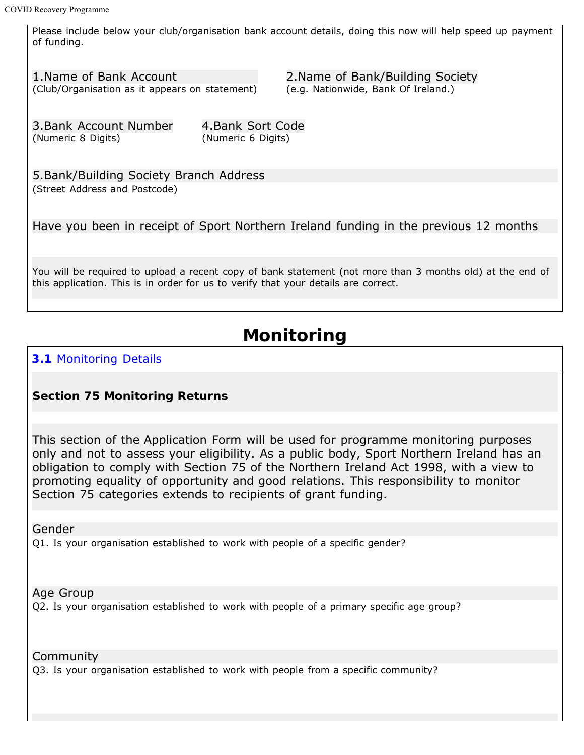Please include below your club/organisation bank account details, doing this now will help speed up payment of funding.

1.Name of Bank Account (Club/Organisation as it appears on statement)

2.Name of Bank/Building Society (e.g. Nationwide, Bank Of Ireland.)

3.Bank Account Number (Numeric 8 Digits)

4.Bank Sort Code (Numeric 6 Digits)

5.Bank/Building Society Branch Address (Street Address and Postcode)

Have you been in receipt of Sport Northern Ireland funding in the previous 12 months

You will be required to upload a recent copy of bank statement (not more than 3 months old) at the end of this application. This is in order for us to verify that your details are correct.

## **Monitoring**

### **3.1** Monitoring Details

#### **Section 75 Monitoring Returns**

This section of the Application Form will be used for programme monitoring purposes only and not to assess your eligibility. As a public body, Sport Northern Ireland has an obligation to comply with Section 75 of the Northern Ireland Act 1998, with a view to promoting equality of opportunity and good relations. This responsibility to monitor Section 75 categories extends to recipients of grant funding.

Gender

Q1. Is your organisation established to work with people of a specific gender?

Age Group

Q2. Is your organisation established to work with people of a primary specific age group?

Community

Q3. Is your organisation established to work with people from a specific community?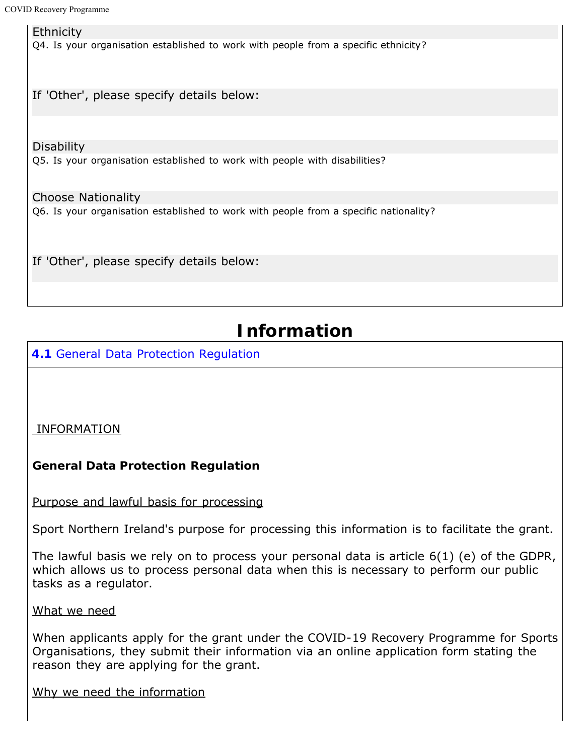**Ethnicity** Q4. Is your organisation established to work with people from a specific ethnicity? If 'Other', please specify details below: **Disability** Q5. Is your organisation established to work with people with disabilities? Choose Nationality

Q6. Is your organisation established to work with people from a specific nationality?

If 'Other', please specify details below:

# **Information**

**4.1** General Data Protection Regulation

INFORMATION

### **General Data Protection Regulation**

Purpose and lawful basis for processing

Sport Northern Ireland's purpose for processing this information is to facilitate the grant.

The lawful basis we rely on to process your personal data is article 6(1) (e) of the GDPR, which allows us to process personal data when this is necessary to perform our public tasks as a regulator.

What we need

When applicants apply for the grant under the COVID-19 Recovery Programme for Sports Organisations, they submit their information via an online application form stating the reason they are applying for the grant.

Why we need the information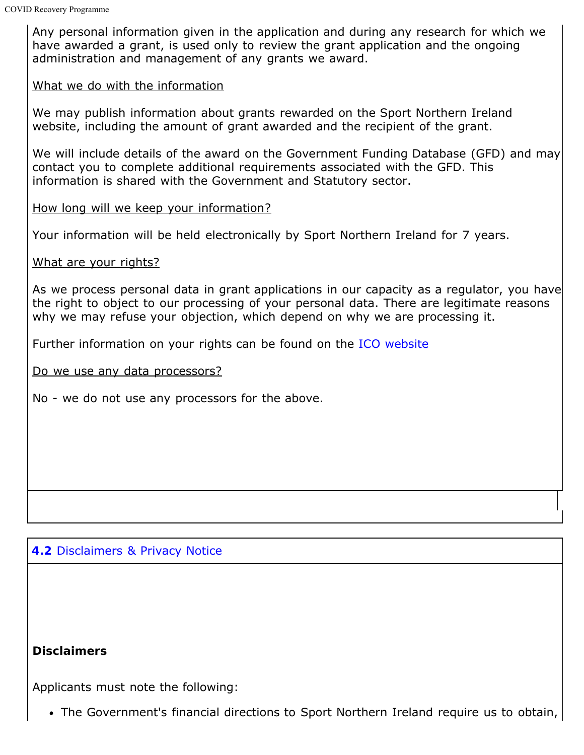Any personal information given in the application and during any research for which we have awarded a grant, is used only to review the grant application and the ongoing administration and management of any grants we award.

#### What we do with the information

We may publish information about grants rewarded on the Sport Northern Ireland website, including the amount of grant awarded and the recipient of the grant.

We will include details of the award on the Government Funding Database (GFD) and may contact you to complete additional requirements associated with the GFD. This information is shared with the Government and Statutory sector.

### How long will we keep your information?

Your information will be held electronically by Sport Northern Ireland for 7 years.

#### What are your rights?

As we process personal data in grant applications in our capacity as a regulator, you have the right to object to our processing of your personal data. There are legitimate reasons why we may refuse your objection, which depend on why we are processing it.

Further information on your rights can be found on the [ICO website](https://ico.org.uk/global/privacy-notice/your-data-protection-rights/)

Do we use any data processors?

No - we do not use any processors for the above.

### **4.2** Disclaimers & Privacy Notice

### **Disclaimers**

Applicants must note the following:

The Government's financial directions to Sport Northern Ireland require us to obtain,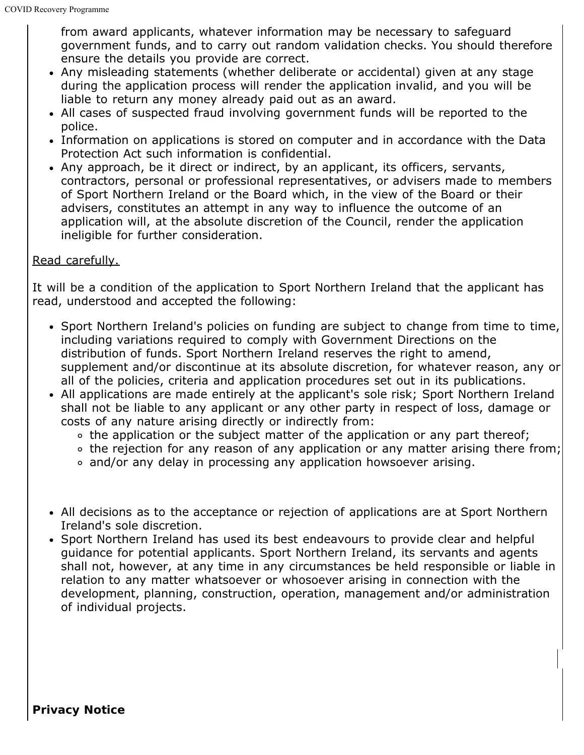from award applicants, whatever information may be necessary to safeguard government funds, and to carry out random validation checks. You should therefore ensure the details you provide are correct.

- Any misleading statements (whether deliberate or accidental) given at any stage during the application process will render the application invalid, and you will be liable to return any money already paid out as an award.
- All cases of suspected fraud involving government funds will be reported to the police.
- Information on applications is stored on computer and in accordance with the Data Protection Act such information is confidential.
- Any approach, be it direct or indirect, by an applicant, its officers, servants, contractors, personal or professional representatives, or advisers made to members of Sport Northern Ireland or the Board which, in the view of the Board or their advisers, constitutes an attempt in any way to influence the outcome of an application will, at the absolute discretion of the Council, render the application ineligible for further consideration.

### Read carefully.

It will be a condition of the application to Sport Northern Ireland that the applicant has read, understood and accepted the following:

- Sport Northern Ireland's policies on funding are subject to change from time to time, including variations required to comply with Government Directions on the distribution of funds. Sport Northern Ireland reserves the right to amend, supplement and/or discontinue at its absolute discretion, for whatever reason, any or all of the policies, criteria and application procedures set out in its publications.
- All applications are made entirely at the applicant's sole risk; Sport Northern Ireland shall not be liable to any applicant or any other party in respect of loss, damage or costs of any nature arising directly or indirectly from:
	- o the application or the subject matter of the application or any part thereof;
	- the rejection for any reason of any application or any matter arising there from;
	- and/or any delay in processing any application howsoever arising.
- All decisions as to the acceptance or rejection of applications are at Sport Northern Ireland's sole discretion.
- Sport Northern Ireland has used its best endeavours to provide clear and helpful guidance for potential applicants. Sport Northern Ireland, its servants and agents shall not, however, at any time in any circumstances be held responsible or liable in relation to any matter whatsoever or whosoever arising in connection with the development, planning, construction, operation, management and/or administration of individual projects.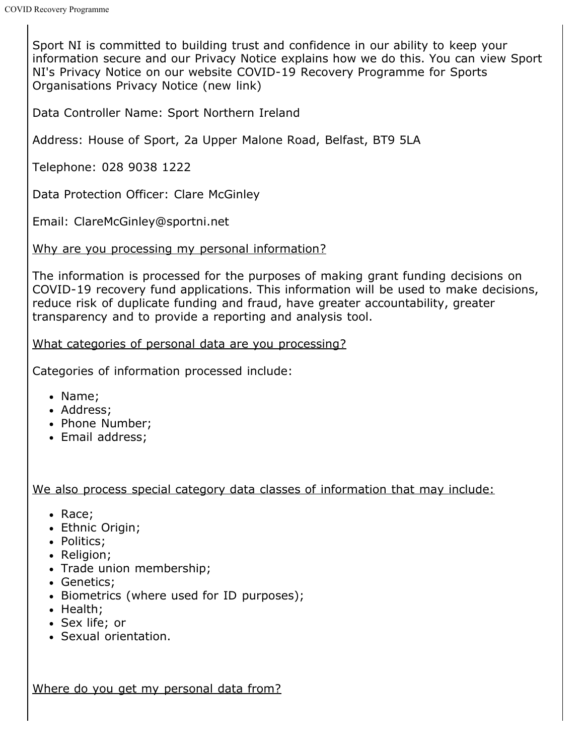Sport NI is committed to building trust and confidence in our ability to keep your information secure and our Privacy Notice explains how we do this. You can view Sport NI's Privacy Notice on our website COVID-19 Recovery Programme for Sports Organisations Privacy Notice (new link)

Data Controller Name: Sport Northern Ireland

Address: House of Sport, 2a Upper Malone Road, Belfast, BT9 5LA

Telephone: 028 9038 1222

Data Protection Officer: Clare McGinley

Email: ClareMcGinley@sportni.net

Why are you processing my personal information?

The information is processed for the purposes of making grant funding decisions on COVID-19 recovery fund applications. This information will be used to make decisions, reduce risk of duplicate funding and fraud, have greater accountability, greater transparency and to provide a reporting and analysis tool.

What categories of personal data are you processing?

Categories of information processed include:

- Name;
- Address:
- Phone Number;
- Email address:

We also process special category data classes of information that may include:

- Race;
- Ethnic Origin;
- Politics:
- Religion;
- Trade union membership;
- Genetics;
- Biometrics (where used for ID purposes);
- Health:
- Sex life; or
- Sexual orientation.

Where do you get my personal data from?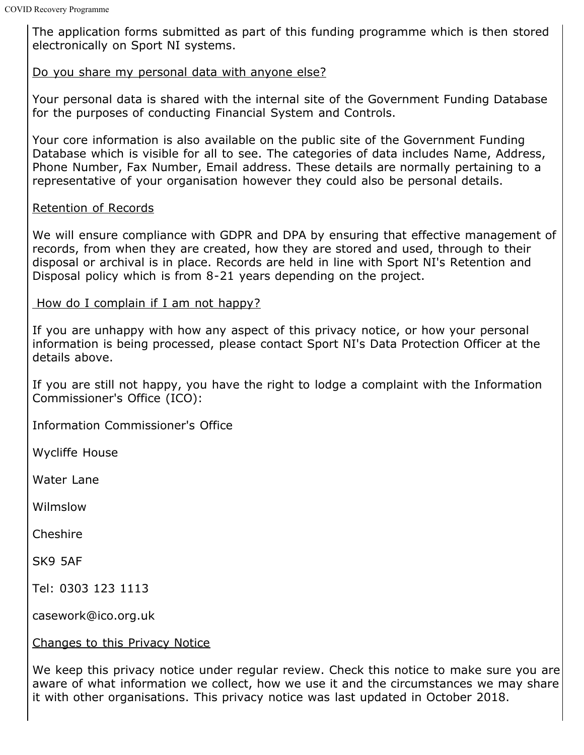The application forms submitted as part of this funding programme which is then stored electronically on Sport NI systems.

### Do you share my personal data with anyone else?

Your personal data is shared with the internal site of the Government Funding Database for the purposes of conducting Financial System and Controls.

Your core information is also available on the public site of the Government Funding Database which is visible for all to see. The categories of data includes Name, Address, Phone Number, Fax Number, Email address. These details are normally pertaining to a representative of your organisation however they could also be personal details.

### Retention of Records

We will ensure compliance with GDPR and DPA by ensuring that effective management of records, from when they are created, how they are stored and used, through to their disposal or archival is in place. Records are held in line with Sport NI's Retention and Disposal policy which is from 8-21 years depending on the project.

### How do I complain if I am not happy?

If you are unhappy with how any aspect of this privacy notice, or how your personal information is being processed, please contact Sport NI's Data Protection Officer at the details above.

If you are still not happy, you have the right to lodge a complaint with the Information Commissioner's Office (ICO):

Information Commissioner's Office

Wycliffe House

Water Lane

Wilmslow

**Cheshire** 

SK9 5AF

Tel: 0303 123 1113

casework@ico.org.uk

Changes to this Privacy Notice

We keep this privacy notice under regular review. Check this notice to make sure you are aware of what information we collect, how we use it and the circumstances we may share it with other organisations. This privacy notice was last updated in October 2018.